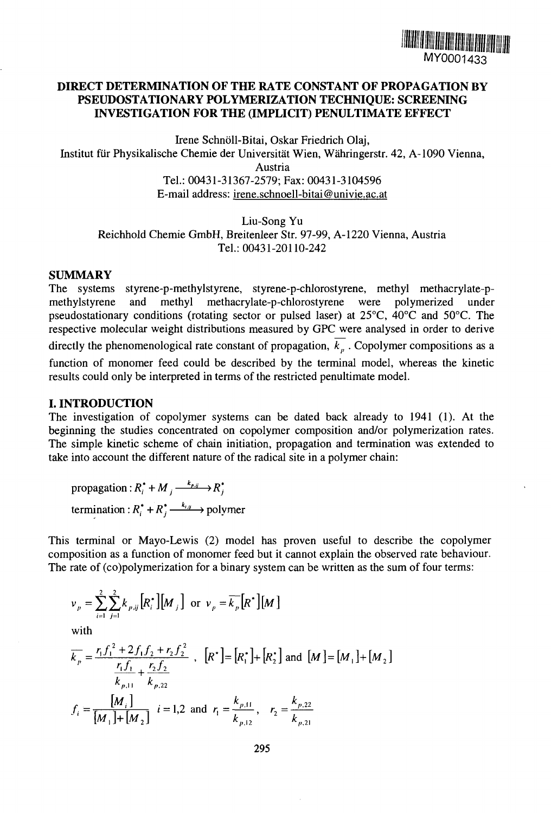

# **DIRECT DETERMINATION OF THE RATE CONSTANT OF PROPAGATION BY PSEUDOSTATIONARY POLYMERIZATION TECHNIQUE: SCREENING INVESTIGATION FOR THE (IMPLICIT) PENULTIMATE EFFECT**

Irene Schnoll-Bitai, Oskar Friedrich Olaj, Institut fur Physikalische Chemie der Universitat Wien, Wahringerstr. 42, A-1090 Vienna, Austria Tel: 00431-31367-2579; Fax: 00431-3104596 E-mail address: irene.schnoell-bitai@univie.ac.at

Liu-Song Yu Reichhold Chemie GmbH, Breitenleer Str. 97-99, A-1220 Vienna, Austria Tel.: 00431-20110-242

### **SUMMARY**

The systems styrene-p-methylstyrene, styrene-p-chlorostyrene, methyl methacrylate-pmethylstyrene and methyl methacrylate-p-chlorostyrene were polymerized under pseudostationary conditions (rotating sector or pulsed laser) at 25°C, 40°C and 50°C. The respective molecular weight distributions measured by GPC were analysed in order to derive directly the phenomenological rate constant of propagation,  $\overline{k_p}$ . Copolymer compositions as a function of monomer feed could be described by the terminal model, whereas the kinetic results could only be interpreted in terms of the restricted penultimate model.

## **I. INTRODUCTION**

The investigation of copolymer systems can be dated back already to 1941 (1). At the beginning the studies concentrated on copolymer composition and/or polymerization rates. The simple kinetic scheme of chain initiation, propagation and termination was extended to take into account the different nature of the radical site in a polymer chain:

propagation:  $R_i^* + M_i \xrightarrow{k_{p,y}} R_i^*$ termination :  $R_i^* + R_j^* \xrightarrow{k_{i,j}}$  polymer

This terminal or Mayo-Lewis (2) model has proven useful to describe the copolymer composition as a function of monomer feed but it cannot explain the observed rate behaviour. The rate of (co)polymerization for a binary system can be written as the sum of four terms:

$$
v_p = \sum_{i=1}^{2} \sum_{j=1}^{2} k_{p,ij} [R_i^*][M_j]
$$
 or  $v_p = \overline{k_p} [R^*][M]$ 

with

$$
\overline{k}_p = \frac{r_1 f_1^2 + 2f_1 f_2 + r_2 f_2^2}{\frac{r_1 f_1}{k_{p,11}} + \frac{r_2 f_2}{k_{p,22}}}, \quad [R^*] = [R_1^*] + [R_2^*] \text{ and } [M] = [M_1] + [M_2]
$$
\n
$$
f_i = \frac{[M_i]}{[M_1] + [M_2]} \quad i = 1, 2 \text{ and } r_1 = \frac{k_{p,11}}{k_{p,12}}, \quad r_2 = \frac{k_{p,22}}{k_{p,21}}
$$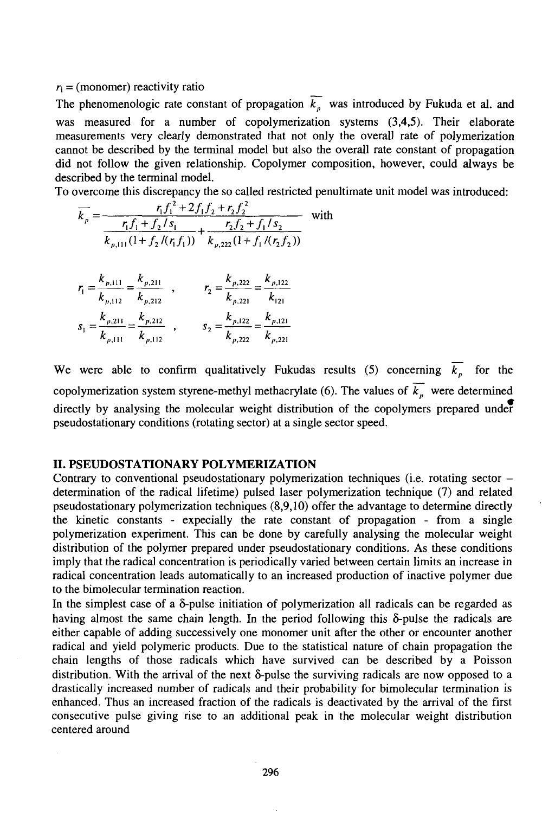#### $r_i$  = (monomer) reactivity ratio

The phenomenologic rate constant of propagation  $\overline{k_p}$  was introduced by Fukuda et al. and was measured for a number of copolymerization systems (3,4,5). Their elaborate measurements very clearly demonstrated that not only the overall rate of polymerization cannot be described by the terminal model but also the overall rate constant of propagation did not follow the given relationship. Copolymer composition, however, could always be described by the terminal model.

To overcome this discrepancy the so called restricted penultimate unit model was introduced:

$$
\overline{k}_p = \frac{r_1 f_1^2 + 2f_1 f_2 + r_2 f_2^2}{\frac{r_1 f_1 + r_2 f_3}{k_{p,111}(1 + f_2 / (r_1 f_1))} + \frac{r_2 f_2 + f_1 / s_2}{k_{p,222}(1 + f_1 / (r_2 f_2))}}
$$
 with

$$
r_{1} = \frac{k_{p,111}}{k_{p,112}} = \frac{k_{p,211}}{k_{p,212}} , \qquad r_{2} = \frac{k_{p,222}}{k_{p,221}} = \frac{k_{p,122}}{k_{121}}
$$
  

$$
s_{1} = \frac{k_{p,211}}{k_{p,111}} = \frac{k_{p,212}}{k_{p,112}} , \qquad s_{2} = \frac{k_{p,122}}{k_{p,222}} = \frac{k_{p,121}}{k_{p,221}}
$$

We were able to confirm qualitatively Fukudas results (5) concerning  $\overline{k}_p$  for the copolymerization system styrene-methyl methacrylate (6). The values of  $\overline{k_n}$  were determined directly by analysing the molecular weight distribution of the copolymers prepared under pseudostationary conditions (rotating sector) at a single sector speed.

### **II. PSEUDOSTATIONARY POLYMERIZATION**

Contrary to conventional pseudostationary polymerization techniques (i.e. rotating sector – determination of the radical lifetime) pulsed laser polymerization technique (7) and related pseudostationary polymerization techniques (8,9,10) offer the advantage to determine directly the kinetic constants - expecially the rate constant of propagation - from a single polymerization experiment. This can be done by carefully analysing the molecular weight distribution of the polymer prepared under pseudostationary conditions. As these conditions imply that the radical concentration is periodically varied between certain limits an increase in radical concentration leads automatically to an increased production of inactive polymer due to the bimolecular termination reaction.

In the simplest case of a  $\delta$ -pulse initiation of polymerization all radicals can be regarded as having almost the same chain length. In the period following this  $\delta$ -pulse the radicals are either capable of adding successively one monomer unit after the other or encounter another radical and yield polymeric products. Due to the statistical nature of chain propagation the chain lengths of those radicals which have survived can be described by a Poisson distribution. With the arrival of the next  $\delta$ -pulse the surviving radicals are now opposed to a drastically increased number of radicals and their probability for bimolecular termination is enhanced. Thus an increased fraction of the radicals is deactivated by the arrival of the first consecutive pulse giving rise to an additional peak in the molecular weight distribution centered around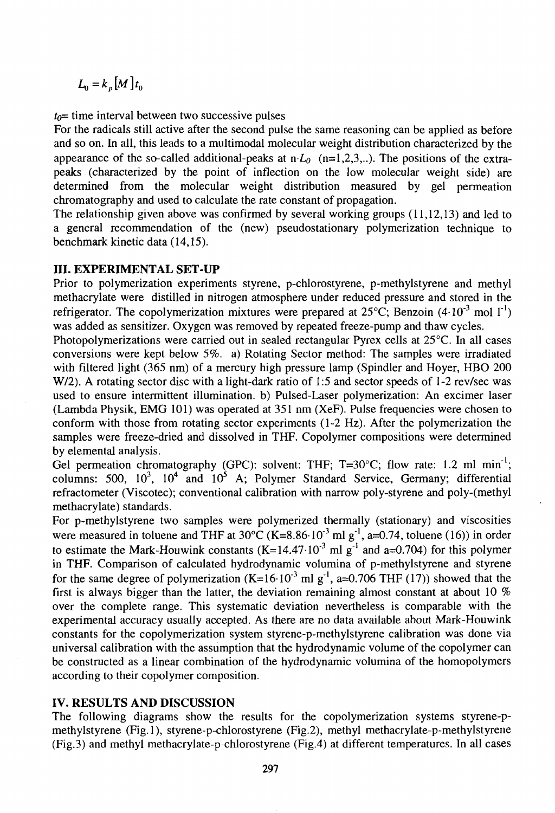$L_0 = k_p [M] t_0$ 

 $t_0$ = time interval between two successive pulses

For the radicals still active after the second pulse the same reasoning can be applied as before and so on. In all, this leads to a multimodal molecular weight distribution characterized by the appearance of the so-called additional-peaks at  $n \cdot L_0$  (n=1,2,3,..). The positions of the extrapeaks (characterized by the point of inflection on the low molecular weight side) are determined from the molecular weight distribution measured by gel permeation chromatography and used to calculate the rate constant of propagation.

The relationship given above was confirmed by several working groups (11,12,13) and led to a general recommendation of the (new) pseudostationary polymerization technique to benchmark kinetic data (14,15).

## **III. EXPERIMENTAL SET-UP**

Prior to polymerization experiments styrene, p-chlorostyrene, p-methylstyrene and methyl methacrylate were distilled in nitrogen atmosphere under reduced pressure and stored in the refrigerator. The copolymerization mixtures were prepared at  $25^{\circ}$ C; Benzoin (4.10<sup>-3</sup> mol 1<sup>-1</sup>) was added as sensitizer. Oxygen was removed by repeated freeze-pump and thaw cycles.

Photopolymerizations were carried out in sealed rectangular Pyrex cells at 25°C. In all cases conversions were kept below 5%. a) Rotating Sector method: The samples were irradiated with filtered light (365 nm) of a mercury high pressure lamp (Spindler and Hoyer, HBO 200 W/2). A rotating sector disc with a light-dark ratio of 1:5 and sector speeds of 1-2 rev/sec was used to ensure intermittent illumination, b) Pulsed-Laser polymerization: An excimer laser (Lambda Physik, EMG 101) was operated at 351 nm (XeF). Pulse frequencies were chosen to conform with those from rotating sector experiments (1-2 Hz). After the polymerization the samples were freeze-dried and dissolved in THF. Copolymer compositions were determined by elemental analysis.

Gel permeation chromatography (GPC): solvent: THF; T=30°C; flow rate: 1.2 ml min<sup>-1</sup>; columns: 500,  $10^3$ ,  $10^4$  and  $10^5$  A; Polymer Standard Service, Germany; differential refractometer (Viscotec); conventional calibration with narrow poly-styrene and poly-(methyl methacrylate) standards.

For p-methylstyrene two samples were polymerized thermally (stationary) and viscosities were measured in toluene and THF at  $30^{\circ}$ C (K=8.86·10<sup>-3</sup> ml g<sup>-1</sup>, a=0.74, toluene (16)) in order to estimate the Mark-Houwink constants  $(K=14.47 \cdot 10^{-3}$  ml g<sup>-1</sup> and a=0.704) for this polymer in THF. Comparison of calculated hydrodynamic volumina of p-methylstyrene and styrene for the same degree of polymerization  $(K=16.10^{3} \text{ ml g}^{-1}$ , a=0.706 THF (17)) showed that the first is always bigger than the latter, the deviation remaining almost constant at about 10  $%$ over the complete range. This systematic deviation nevertheless is comparable with the experimental accuracy usually accepted. As there are no data available about Mark-Houwink constants for the copolymerization system styrene-p-methylstyrene calibration was done via universal calibration with the assumption that the hydrodynamic volume of the copolymer can be constructed as a linear combination of the hydrodynamic volumina of the homopolymers according to their copolymer composition.

### **IV. RESULTS AND DISCUSSION**

The following diagrams show the results for the copolymerization systems styrene-pmethylstyrene (Fig.l), styrene-p-chlorostyrene (Fig.2), methyl methacrylate-p-methylstyrene (Fig.3) and methyl methacrylate-p-chlorostyrene (Fig.4) at different temperatures. In all cases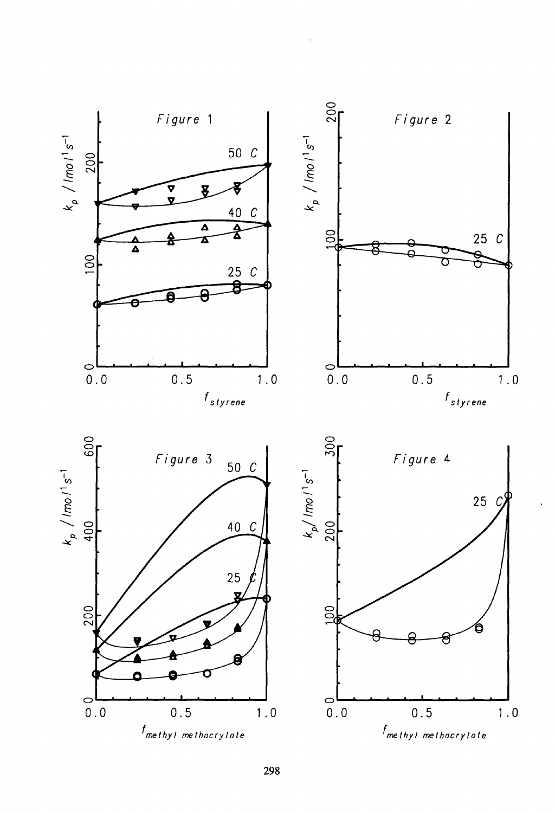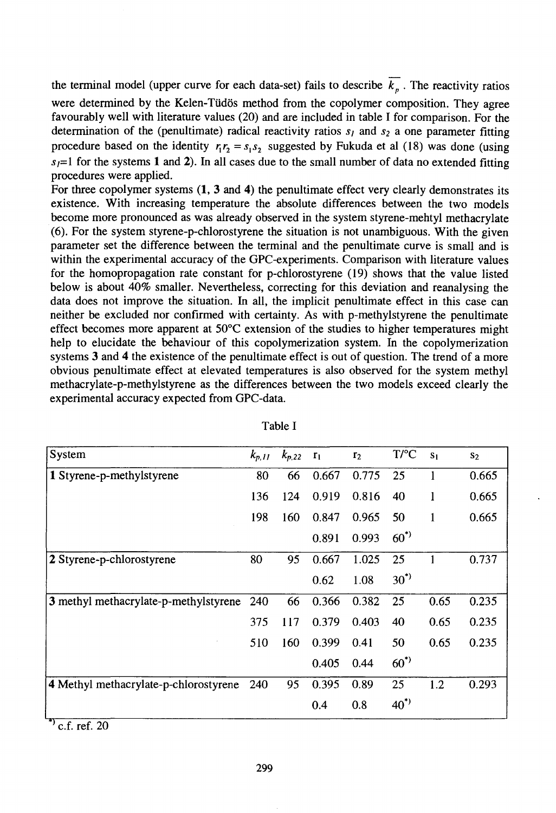the terminal model (upper curve for each data-set) fails to describe  $\overline{k_n}$ . The reactivity ratios were determined by the Kelen-Tüdös method from the copolymer composition. They agree favourably well with literature values (20) and are included in table I for comparison. For the determination of the (penultimate) radical reactivity ratios  $s<sub>l</sub>$  and  $s<sub>2</sub>$  a one parameter fitting procedure based on the identity  $r_1r_2 = s_1s_2$  suggested by Fukuda et al (18) was done (using  $s<sub>i</sub>=1$  for the systems 1 and 2). In all cases due to the small number of data no extended fitting procedures were applied.

For three copolymer systems  $(1, 3 \text{ and } 4)$  the penultimate effect very clearly demonstrates its existence. With increasing temperature the absolute differences between the two models become more pronounced as was already observed in the system styrene-mehtyl methacrylate (6). For the system styrene-p-chlorostyrene the situation is not unambiguous. With the given parameter set the difference between the terminal and the penultimate curve is small and is within the experimental accuracy of the GPC-experiments. Comparison with literature values for the homopropagation rate constant for p-chlorostyrene (19) shows that the value listed below is about 40% smaller. Nevertheless, correcting for this deviation and reanalysing the data does not improve the situation. In all, the implicit penultimate effect in this case can neither be excluded nor confirmed with certainty. As with p-methylstyrene the penultimate effect becomes more apparent at 50°C extension of the studies to higher temperatures might help to elucidate the behaviour of this copolymerization system. In the copolymerization systems 3 and 4 the existence of the penultimate effect is out of question. The trend of a more obvious penultimate effect at elevated temperatures is also observed for the system methyl methacrylate-p-methylstyrene as the differences between the two models exceed clearly the experimental accuracy expected from GPC-data.

| System                                | $k_{p,II}$ | $k_{p,22}$ | r <sub>1</sub> | r <sub>2</sub> | T/C         | S <sub>1</sub> | S <sub>2</sub> |
|---------------------------------------|------------|------------|----------------|----------------|-------------|----------------|----------------|
| 1 Styrene-p-methylstyrene             | 80         | 66         | 0.667          | 0.775          | 25          |                | 0.665          |
|                                       | 136        | 124        | 0.919          | 0.816          | 40          | 1              | 0.665          |
|                                       | 198        | 160        | 0.847          | 0.965          | 50          | $\mathbf{1}$   | 0.665          |
|                                       |            |            | 0.891          | 0.993          | $60^{*}$    |                |                |
| 2 Styrene-p-chlorostyrene             | 80         | 95         | 0.667          | 1.025          | 25          |                | 0.737          |
|                                       |            |            | 0.62           | 1.08           | $30^{\ast}$ |                |                |
| 3 methyl methacrylate-p-methylstyrene | 240        | 66         | 0.366          | 0.382          | 25          | 0.65           | 0.235          |
|                                       | 375        | 117        | 0.379          | 0.403          | 40          | 0.65           | 0.235          |
|                                       | 510        | 160        | 0.399          | 0.41           | 50          | 0.65           | 0.235          |
|                                       |            |            | 0.405          | 0.44           | $60^{*}$    |                |                |
| 4 Methyl methacrylate-p-chlorostyrene | 240        | 95         | 0.395          | 0.89           | 25          | 1.2            | 0.293          |
|                                       |            |            | 0.4            | 0.8            | $40^{\ast}$ |                |                |

Table I

 $v^*$  c.f. ref. 20